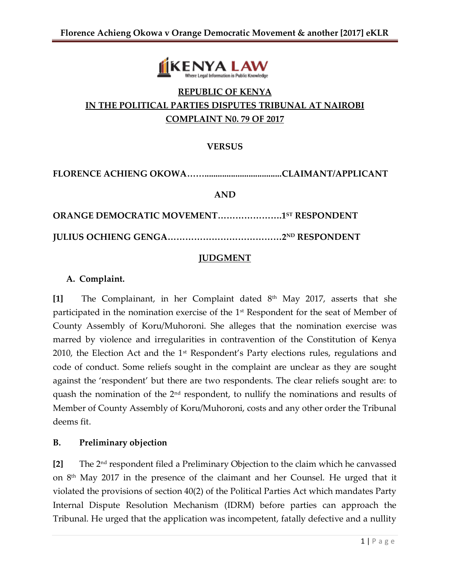

# **REPUBLIC OF KENYA IN THE POLITICAL PARTIES DISPUTES TRIBUNAL AT NAIROBI COMPLAINT N0. 79 OF 2017**

## **VERSUS**

**FLORENCE ACHIENG OKOWA……...................................CLAIMANT/APPLICANT**

**AND**

**ORANGE DEMOCRATIC MOVEMENT………………….1 ST RESPONDENT**

**JULIUS OCHIENG GENGA…………………………………2ND RESPONDENT**

#### **JUDGMENT**

#### **A. Complaint.**

**[1]** The Complainant, in her Complaint dated 8th May 2017, asserts that she participated in the nomination exercise of the  $1<sup>st</sup>$  Respondent for the seat of Member of County Assembly of Koru/Muhoroni. She alleges that the nomination exercise was marred by violence and irregularities in contravention of the Constitution of Kenya 2010, the Election Act and the 1<sup>st</sup> Respondent's Party elections rules, regulations and code of conduct. Some reliefs sought in the complaint are unclear as they are sought against the 'respondent' but there are two respondents. The clear reliefs sought are: to quash the nomination of the 2<sup>nd</sup> respondent, to nullify the nominations and results of Member of County Assembly of Koru/Muhoroni, costs and any other order the Tribunal deems fit.

### **B. Preliminary objection**

**[2]** The 2nd respondent filed a Preliminary Objection to the claim which he canvassed on 8th May 2017 in the presence of the claimant and her Counsel. He urged that it violated the provisions of section 40(2) of the Political Parties Act which mandates Party Internal Dispute Resolution Mechanism (IDRM) before parties can approach the Tribunal. He urged that the application was incompetent, fatally defective and a nullity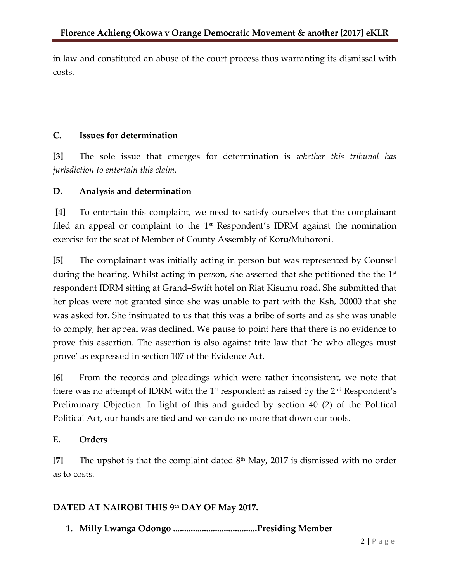in law and constituted an abuse of the court process thus warranting its dismissal with costs.

# **C. Issues for determination**

**[3]** The sole issue that emerges for determination is *whether this tribunal has jurisdiction to entertain this claim.*

## **D. Analysis and determination**

**[4]** To entertain this complaint, we need to satisfy ourselves that the complainant filed an appeal or complaint to the  $1<sup>st</sup>$  Respondent's IDRM against the nomination exercise for the seat of Member of County Assembly of Koru/Muhoroni.

**[5]** The complainant was initially acting in person but was represented by Counsel during the hearing. Whilst acting in person, she asserted that she petitioned the the 1<sup>st</sup> respondent IDRM sitting at Grand–Swift hotel on Riat Kisumu road. She submitted that her pleas were not granted since she was unable to part with the Ksh, 30000 that she was asked for. She insinuated to us that this was a bribe of sorts and as she was unable to comply, her appeal was declined. We pause to point here that there is no evidence to prove this assertion. The assertion is also against trite law that 'he who alleges must prove' as expressed in section 107 of the Evidence Act.

**[6]** From the records and pleadings which were rather inconsistent, we note that there was no attempt of IDRM with the 1<sup>st</sup> respondent as raised by the 2<sup>nd</sup> Respondent's Preliminary Objection. In light of this and guided by section 40 (2) of the Political Political Act, our hands are tied and we can do no more that down our tools.

## **E. Orders**

**[7]** The upshot is that the complaint dated 8th May, 2017 is dismissed with no order as to costs.

## **DATED AT NAIROBI THIS 9th DAY OF May 2017.**

**1. Milly Lwanga Odongo ......................................Presiding Member**